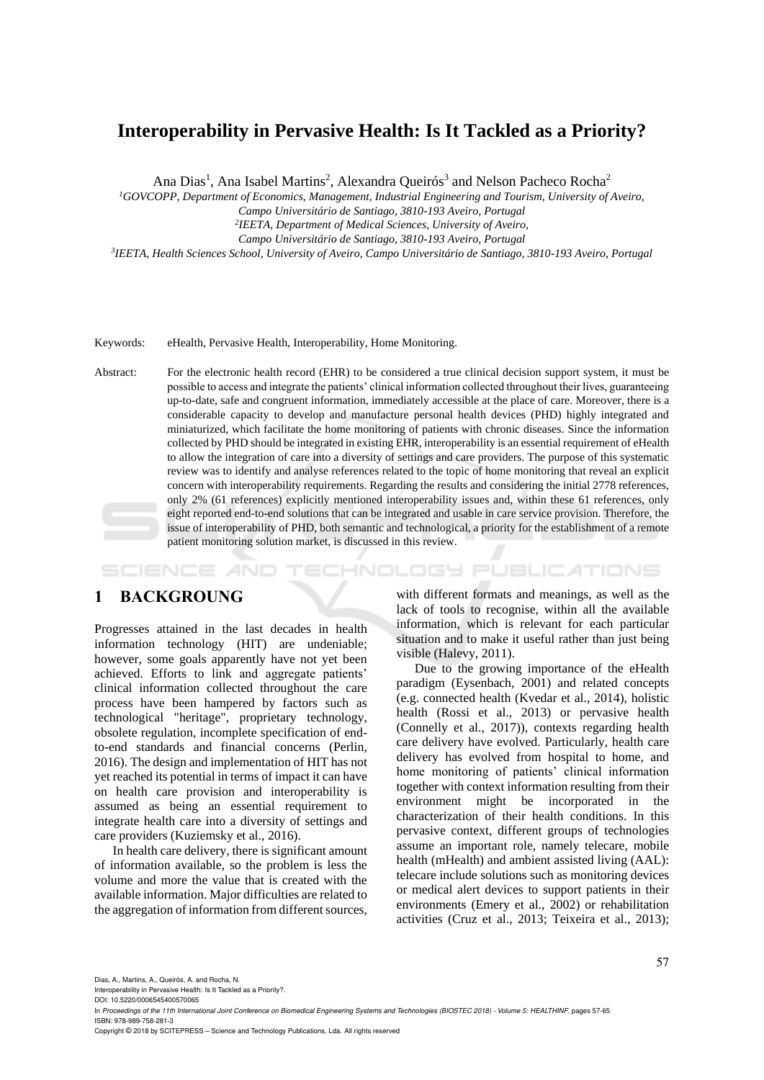# **Interoperability in Pervasive Health: Is It Tackled as a Priority?**

Ana Dias<sup>1</sup>, Ana Isabel Martins<sup>2</sup>, Alexandra Queirós<sup>3</sup> and Nelson Pacheco Rocha<sup>2</sup>

*<sup>1</sup>GOVCOPP, Department of Economics, Management, Industrial Engineering and Tourism, University of Aveiro, Campo Universitário de Santiago, 3810-193 Aveiro, Portugal*

*2 IEETA, Department of Medical Sciences, University of Aveiro,*

*Campo Universitário de Santiago, 3810-193 Aveiro, Portugal* 

*3 IEETA, Health Sciences School, University of Aveiro, Campo Universitário de Santiago, 3810-193 Aveiro, Portugal*

Keywords: eHealth, Pervasive Health, Interoperability, Home Monitoring.

Abstract: For the electronic health record (EHR) to be considered a true clinical decision support system, it must be possible to access and integrate the patients' clinical information collected throughout their lives, guaranteeing up-to-date, safe and congruent information, immediately accessible at the place of care. Moreover, there is a considerable capacity to develop and manufacture personal health devices (PHD) highly integrated and miniaturized, which facilitate the home monitoring of patients with chronic diseases. Since the information collected by PHD should be integrated in existing EHR, interoperability is an essential requirement of eHealth to allow the integration of care into a diversity of settings and care providers. The purpose of this systematic review was to identify and analyse references related to the topic of home monitoring that reveal an explicit concern with interoperability requirements. Regarding the results and considering the initial 2778 references, only 2% (61 references) explicitly mentioned interoperability issues and, within these 61 references, only eight reported end-to-end solutions that can be integrated and usable in care service provision. Therefore, the issue of interoperability of PHD, both semantic and technological, a priority for the establishment of a remote patient monitoring solution market, is discussed in this review.

HNOLOGY PUBLICATIONS SCIENCE *A*ND

## **1 BACKGROUNG**

Progresses attained in the last decades in health information technology (HIT) are undeniable; however, some goals apparently have not yet been achieved. Efforts to link and aggregate patients' clinical information collected throughout the care process have been hampered by factors such as technological "heritage", proprietary technology, obsolete regulation, incomplete specification of endto-end standards and financial concerns (Perlin, 2016). The design and implementation of HIT has not yet reached its potential in terms of impact it can have on health care provision and interoperability is assumed as being an essential requirement to integrate health care into a diversity of settings and care providers (Kuziemsky et al., 2016).

In health care delivery, there is significant amount of information available, so the problem is less the volume and more the value that is created with the available information. Major difficulties are related to the aggregation of information from different sources,

with different formats and meanings, as well as the lack of tools to recognise, within all the available information, which is relevant for each particular situation and to make it useful rather than just being visible (Halevy, 2011).

Due to the growing importance of the eHealth paradigm (Eysenbach, 2001) and related concepts (e.g. connected health (Kvedar et al., 2014), holistic health (Rossi et al., 2013) or pervasive health (Connelly et al., 2017)), contexts regarding health care delivery have evolved. Particularly, health care delivery has evolved from hospital to home, and home monitoring of patients' clinical information together with context information resulting from their environment might be incorporated in the characterization of their health conditions. In this pervasive context, different groups of technologies assume an important role, namely telecare, mobile health (mHealth) and ambient assisted living (AAL): telecare include solutions such as monitoring devices or medical alert devices to support patients in their environments (Emery et al., 2002) or rehabilitation activities (Cruz et al., 2013; Teixeira et al., 2013);

Dias, A., Martins, A., Queirós, A. and Rocha, N.

Interoperability in Pervasive Health: Is It Tackled as a Priority?. DOI: 10.5220/0006545400570065

Copyright © 2018 by SCITEPRESS – Science and Technology Publications, Lda. All rights reserved

In *Proceedings of the 11th International Joint Conference on Biomedical Engineering Systems and Technologies (BIOSTEC 2018) - Volume 5: HEALTHINF*, pages 57-65 ISBN: 978-989-758-281-3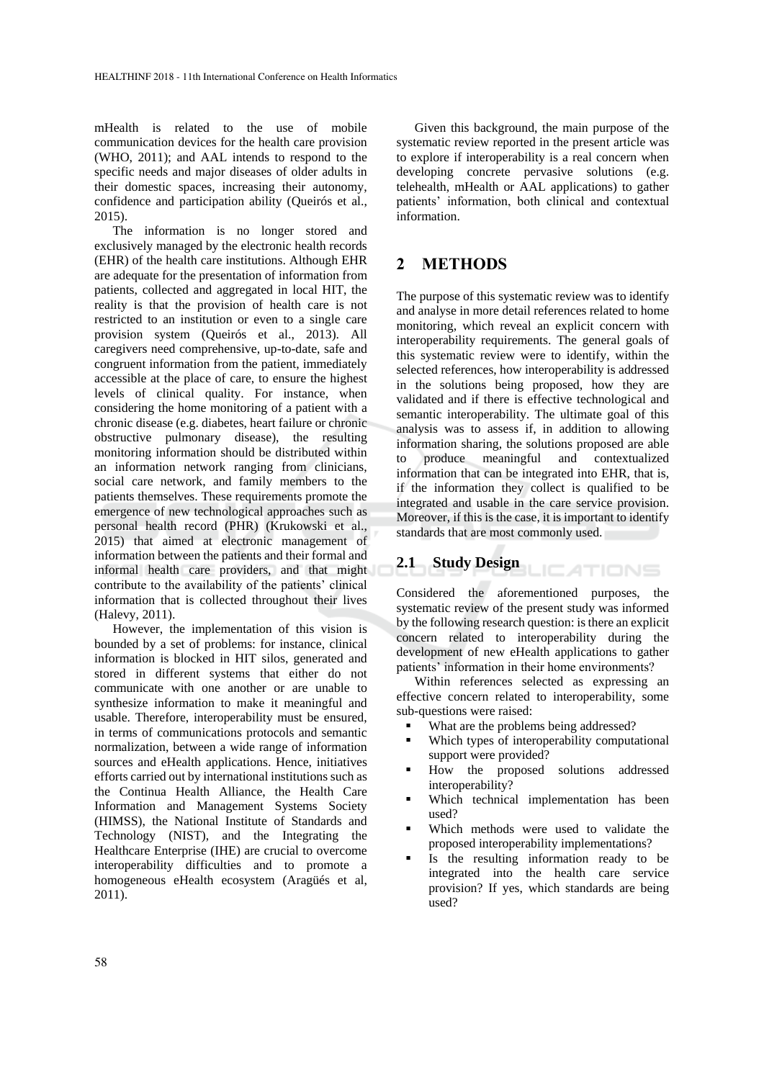mHealth is related to the use of mobile communication devices for the health care provision (WHO, 2011); and AAL intends to respond to the specific needs and major diseases of older adults in their domestic spaces, increasing their autonomy, confidence and participation ability (Queirós et al., 2015).

The information is no longer stored and exclusively managed by the electronic health records (EHR) of the health care institutions. Although EHR are adequate for the presentation of information from patients, collected and aggregated in local HIT, the reality is that the provision of health care is not restricted to an institution or even to a single care provision system (Queirós et al., 2013). All caregivers need comprehensive, up-to-date, safe and congruent information from the patient, immediately accessible at the place of care, to ensure the highest levels of clinical quality. For instance, when considering the home monitoring of a patient with a chronic disease (e.g. diabetes, heart failure or chronic obstructive pulmonary disease), the resulting monitoring information should be distributed within an information network ranging from clinicians, social care network, and family members to the patients themselves. These requirements promote the emergence of new technological approaches such as personal health record (PHR) (Krukowski et al., 2015) that aimed at electronic management of information between the patients and their formal and informal health care providers, and that might contribute to the availability of the patients' clinical information that is collected throughout their lives (Halevy, 2011).

However, the implementation of this vision is bounded by a set of problems: for instance, clinical information is blocked in HIT silos, generated and stored in different systems that either do not communicate with one another or are unable to synthesize information to make it meaningful and usable. Therefore, interoperability must be ensured, in terms of communications protocols and semantic normalization, between a wide range of information sources and eHealth applications. Hence, initiatives efforts carried out by international institutions such as the Continua Health Alliance, the Health Care Information and Management Systems Society (HIMSS), the National Institute of Standards and Technology (NIST), and the Integrating the Healthcare Enterprise (IHE) are crucial to overcome interoperability difficulties and to promote a homogeneous eHealth ecosystem (Aragüés et al, 2011).

Given this background, the main purpose of the systematic review reported in the present article was to explore if interoperability is a real concern when developing concrete pervasive solutions (e.g. telehealth, mHealth or AAL applications) to gather patients' information, both clinical and contextual information.

## **2 METHODS**

The purpose of this systematic review was to identify and analyse in more detail references related to home monitoring, which reveal an explicit concern with interoperability requirements. The general goals of this systematic review were to identify, within the selected references, how interoperability is addressed in the solutions being proposed, how they are validated and if there is effective technological and semantic interoperability. The ultimate goal of this analysis was to assess if, in addition to allowing information sharing, the solutions proposed are able to produce meaningful and contextualized information that can be integrated into EHR, that is, if the information they collect is qualified to be integrated and usable in the care service provision. Moreover, if this is the case, it is important to identify standards that are most commonly used.

# **2.1 Study Design**

Considered the aforementioned purposes, the systematic review of the present study was informed by the following research question: is there an explicit concern related to interoperability during the development of new eHealth applications to gather patients' information in their home environments?

Within references selected as expressing an effective concern related to interoperability, some sub-questions were raised:

- What are the problems being addressed?
- Which types of interoperability computational support were provided?
- How the proposed solutions addressed interoperability?
- Which technical implementation has been used?
- Which methods were used to validate the proposed interoperability implementations?
- Is the resulting information ready to be integrated into the health care service provision? If yes, which standards are being used?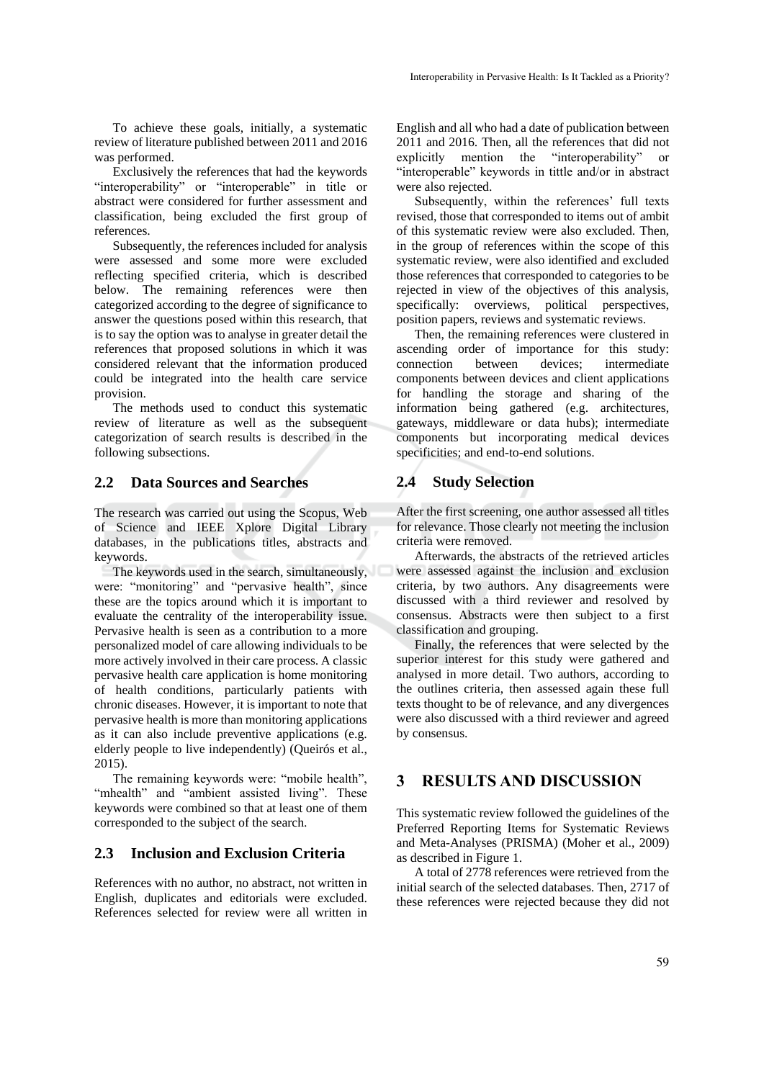To achieve these goals, initially, a systematic review of literature published between 2011 and 2016 was performed.

Exclusively the references that had the keywords "interoperability" or "interoperable" in title or abstract were considered for further assessment and classification, being excluded the first group of references.

Subsequently, the references included for analysis were assessed and some more were excluded reflecting specified criteria, which is described below. The remaining references were then categorized according to the degree of significance to answer the questions posed within this research, that is to say the option was to analyse in greater detail the references that proposed solutions in which it was considered relevant that the information produced could be integrated into the health care service provision.

The methods used to conduct this systematic review of literature as well as the subsequent categorization of search results is described in the following subsections.

## **2.2 Data Sources and Searches**

The research was carried out using the Scopus, Web of Science and IEEE Xplore Digital Library databases, in the publications titles, abstracts and keywords.

The keywords used in the search, simultaneously, were: "monitoring" and "pervasive health", since these are the topics around which it is important to evaluate the centrality of the interoperability issue. Pervasive health is seen as a contribution to a more personalized model of care allowing individuals to be more actively involved in their care process. A classic pervasive health care application is home monitoring of health conditions, particularly patients with chronic diseases. However, it is important to note that pervasive health is more than monitoring applications as it can also include preventive applications (e.g. elderly people to live independently) (Queirós et al., 2015).

The remaining keywords were: "mobile health", "mhealth" and "ambient assisted living". These keywords were combined so that at least one of them corresponded to the subject of the search.

## **2.3 Inclusion and Exclusion Criteria**

References with no author, no abstract, not written in English, duplicates and editorials were excluded. References selected for review were all written in

English and all who had a date of publication between 2011 and 2016. Then, all the references that did not explicitly mention the "interoperability" or "interoperable" keywords in tittle and/or in abstract were also rejected.

Subsequently, within the references' full texts revised, those that corresponded to items out of ambit of this systematic review were also excluded. Then, in the group of references within the scope of this systematic review, were also identified and excluded those references that corresponded to categories to be rejected in view of the objectives of this analysis, specifically: overviews, political perspectives, position papers, reviews and systematic reviews.

Then, the remaining references were clustered in ascending order of importance for this study: connection between devices; intermediate components between devices and client applications for handling the storage and sharing of the information being gathered (e.g. architectures, gateways, middleware or data hubs); intermediate components but incorporating medical devices specificities; and end-to-end solutions.

## **2.4 Study Selection**

After the first screening, one author assessed all titles for relevance. Those clearly not meeting the inclusion criteria were removed.

Afterwards, the abstracts of the retrieved articles were assessed against the inclusion and exclusion criteria, by two authors. Any disagreements were discussed with a third reviewer and resolved by consensus. Abstracts were then subject to a first classification and grouping.

Finally, the references that were selected by the superior interest for this study were gathered and analysed in more detail. Two authors, according to the outlines criteria, then assessed again these full texts thought to be of relevance, and any divergences were also discussed with a third reviewer and agreed by consensus.

## **3 RESULTS AND DISCUSSION**

This systematic review followed the guidelines of the Preferred Reporting Items for Systematic Reviews and Meta-Analyses (PRISMA) (Moher et al., 2009) as described in Figure 1.

A total of 2778 references were retrieved from the initial search of the selected databases. Then, 2717 of these references were rejected because they did not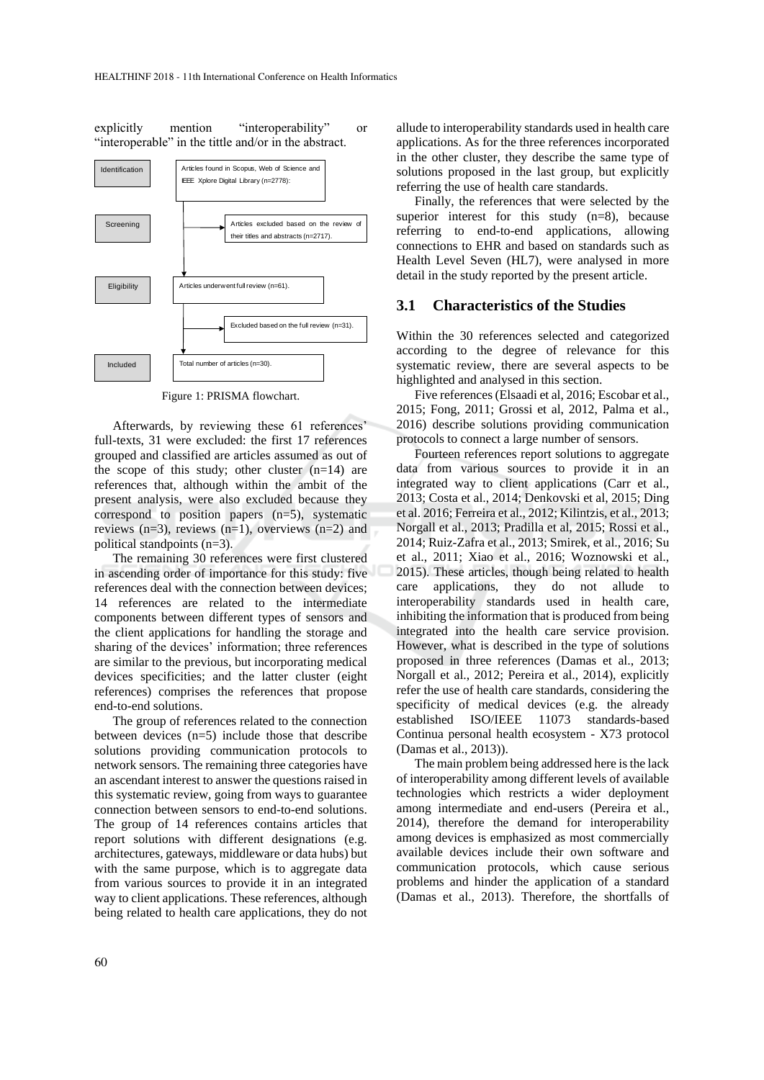explicitly mention "interoperability" or "interoperable" in the tittle and/or in the abstract.



Figure 1: PRISMA flowchart.

Afterwards, by reviewing these 61 references' full-texts, 31 were excluded: the first 17 references grouped and classified are articles assumed as out of the scope of this study; other cluster  $(n=14)$  are references that, although within the ambit of the present analysis, were also excluded because they correspond to position papers  $(n=5)$ , systematic reviews  $(n=3)$ , reviews  $(n=1)$ , overviews  $(n=2)$  and political standpoints (n=3).

The remaining 30 references were first clustered in ascending order of importance for this study: five references deal with the connection between devices; 14 references are related to the intermediate components between different types of sensors and the client applications for handling the storage and sharing of the devices' information; three references are similar to the previous, but incorporating medical devices specificities; and the latter cluster (eight references) comprises the references that propose end-to-end solutions.

The group of references related to the connection between devices (n=5) include those that describe solutions providing communication protocols to network sensors. The remaining three categories have an ascendant interest to answer the questions raised in this systematic review, going from ways to guarantee connection between sensors to end-to-end solutions. The group of 14 references contains articles that report solutions with different designations (e.g. architectures, gateways, middleware or data hubs) but with the same purpose, which is to aggregate data from various sources to provide it in an integrated way to client applications. These references, although being related to health care applications, they do not

allude to interoperability standards used in health care applications. As for the three references incorporated in the other cluster, they describe the same type of solutions proposed in the last group, but explicitly referring the use of health care standards.

Finally, the references that were selected by the superior interest for this study  $(n=8)$ , because referring to end-to-end applications, allowing connections to EHR and based on standards such as Health Level Seven (HL7), were analysed in more detail in the study reported by the present article.

#### **3.1 Characteristics of the Studies**

Within the 30 references selected and categorized according to the degree of relevance for this systematic review, there are several aspects to be highlighted and analysed in this section.

Five references (Elsaadi et al, 2016; Escobar et al., 2015; Fong, 2011; Grossi et al, 2012, Palma et al., 2016) describe solutions providing communication protocols to connect a large number of sensors.

Fourteen references report solutions to aggregate data from various sources to provide it in an integrated way to client applications (Carr et al., 2013; Costa et al., 2014; Denkovski et al, 2015; Ding et al. 2016; Ferreira et al., 2012; Kilintzis, et al., 2013; Norgall et al., 2013; Pradilla et al, 2015; Rossi et al., 2014; Ruiz-Zafra et al., 2013; Smirek, et al., 2016; Su et al., 2011; Xiao et al., 2016; Woznowski et al., 2015). These articles, though being related to health care applications, they do not allude to interoperability standards used in health care, inhibiting the information that is produced from being integrated into the health care service provision. However, what is described in the type of solutions proposed in three references (Damas et al., 2013; Norgall et al., 2012; Pereira et al., 2014), explicitly refer the use of health care standards, considering the specificity of medical devices (e.g. the already established ISO/IEEE 11073 standards-based Continua personal health ecosystem - X73 protocol (Damas et al., 2013)).

The main problem being addressed here is the lack of interoperability among different levels of available technologies which restricts a wider deployment among intermediate and end-users (Pereira et al., 2014), therefore the demand for interoperability among devices is emphasized as most commercially available devices include their own software and communication protocols, which cause serious problems and hinder the application of a standard (Damas et al., 2013). Therefore, the shortfalls of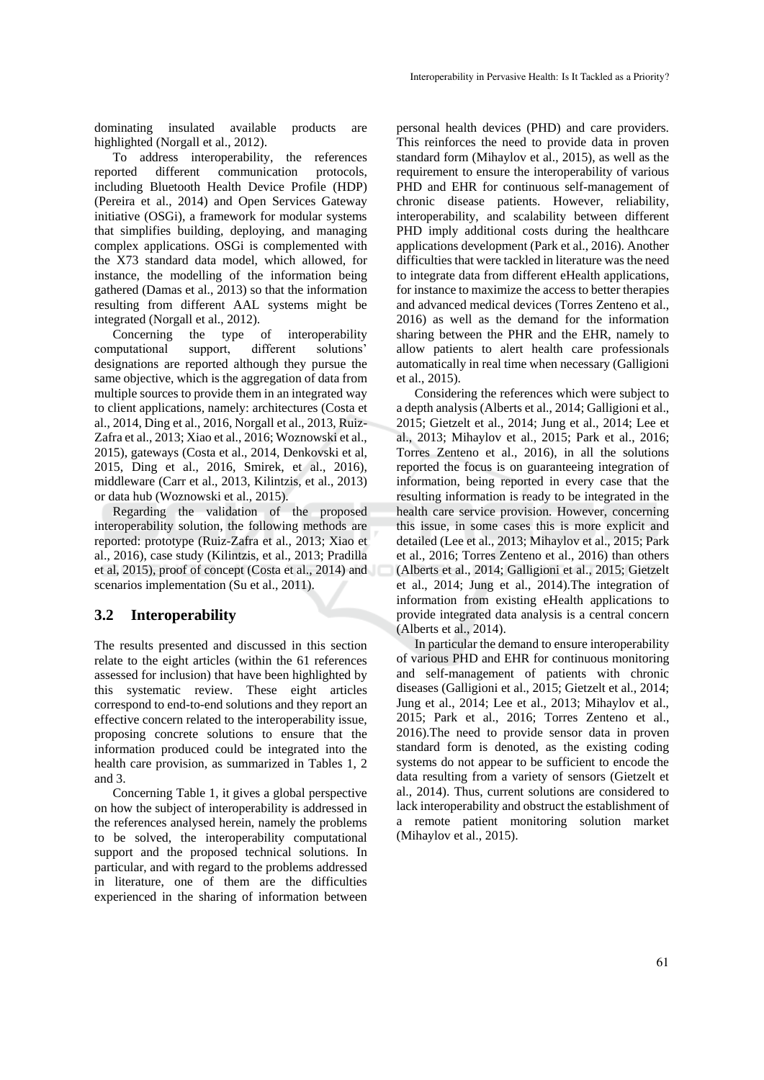dominating insulated available products are highlighted (Norgall et al., 2012).

To address interoperability, the references reported different communication protocols, including Bluetooth Health Device Profile (HDP) (Pereira et al., 2014) and Open Services Gateway initiative (OSGi), a framework for modular systems that simplifies building, deploying, and managing complex applications. OSGi is complemented with the X73 standard data model, which allowed, for instance, the modelling of the information being gathered (Damas et al., 2013) so that the information resulting from different AAL systems might be integrated (Norgall et al., 2012).

Concerning the type of interoperability computational support, different solutions' designations are reported although they pursue the same objective, which is the aggregation of data from multiple sources to provide them in an integrated way to client applications*,* namely: architectures (Costa et al., 2014, Ding et al., 2016, Norgall et al., 2013, Ruiz-Zafra et al., 2013; Xiao et al., 2016; Woznowski et al., 2015), gateways (Costa et al., 2014, Denkovski et al, 2015, Ding et al., 2016, Smirek, et al., 2016), middleware (Carr et al., 2013, Kilintzis, et al., 2013) or data hub (Woznowski et al., 2015).

Regarding the validation of the proposed interoperability solution, the following methods are reported: prototype (Ruiz-Zafra et al., 2013; Xiao et al., 2016), case study (Kilintzis, et al., 2013; Pradilla et al, 2015), proof of concept (Costa et al., 2014) and scenarios implementation (Su et al., 2011).

## **3.2 Interoperability**

The results presented and discussed in this section relate to the eight articles (within the 61 references assessed for inclusion) that have been highlighted by this systematic review. These eight articles correspond to end-to-end solutions and they report an effective concern related to the interoperability issue, proposing concrete solutions to ensure that the information produced could be integrated into the health care provision, as summarized in Tables 1, 2 and 3.

Concerning Table 1, it gives a global perspective on how the subject of interoperability is addressed in the references analysed herein, namely the problems to be solved, the interoperability computational support and the proposed technical solutions. In particular, and with regard to the problems addressed in literature, one of them are the difficulties experienced in the sharing of information between

personal health devices (PHD) and care providers. This reinforces the need to provide data in proven standard form (Mihaylov et al., 2015), as well as the requirement to ensure the interoperability of various PHD and EHR for continuous self-management of chronic disease patients. However, reliability, interoperability, and scalability between different PHD imply additional costs during the healthcare applications development (Park et al., 2016). Another difficulties that were tackled in literature was the need to integrate data from different eHealth applications, for instance to maximize the access to better therapies and advanced medical devices (Torres Zenteno et al., 2016) as well as the demand for the information sharing between the PHR and the EHR, namely to allow patients to alert health care professionals automatically in real time when necessary (Galligioni et al., 2015).

Considering the references which were subject to a depth analysis (Alberts et al., 2014; Galligioni et al., 2015; Gietzelt et al., 2014; Jung et al., 2014; Lee et al., 2013; Mihaylov et al., 2015; Park et al., 2016; Torres Zenteno et al., 2016), in all the solutions reported the focus is on guaranteeing integration of information, being reported in every case that the resulting information is ready to be integrated in the health care service provision. However, concerning this issue, in some cases this is more explicit and detailed (Lee et al., 2013; Mihaylov et al., 2015; Park et al., 2016; Torres Zenteno et al., 2016) than others (Alberts et al., 2014; Galligioni et al., 2015; Gietzelt et al., 2014; Jung et al., 2014).The integration of information from existing eHealth applications to provide integrated data analysis is a central concern (Alberts et al., 2014).

In particular the demand to ensure interoperability of various PHD and EHR for continuous monitoring and self-management of patients with chronic diseases (Galligioni et al., 2015; Gietzelt et al., 2014; Jung et al., 2014; Lee et al., 2013; Mihaylov et al., 2015; Park et al., 2016; Torres Zenteno et al., 2016).The need to provide sensor data in proven standard form is denoted, as the existing coding systems do not appear to be sufficient to encode the data resulting from a variety of sensors (Gietzelt et al., 2014). Thus, current solutions are considered to lack interoperability and obstruct the establishment of a remote patient monitoring solution market (Mihaylov et al., 2015).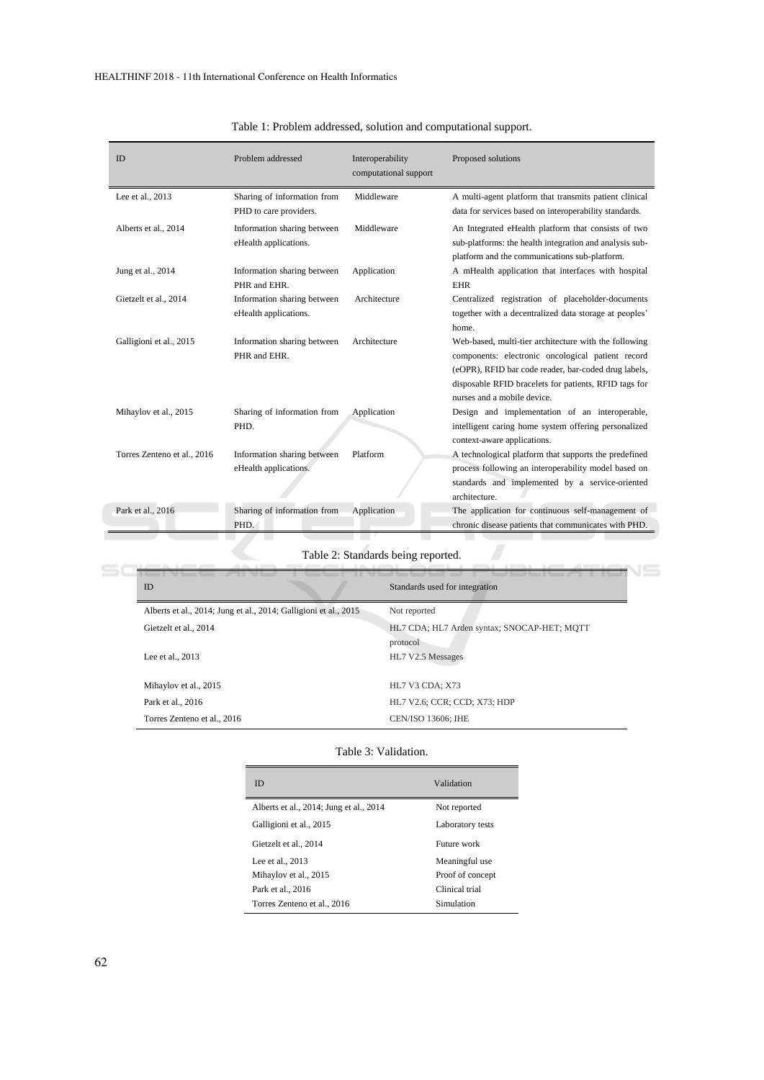| <b>ID</b>                   | Problem addressed                                     | Interoperability<br>computational support | Proposed solutions                                                                                                                                                                                                                                         |
|-----------------------------|-------------------------------------------------------|-------------------------------------------|------------------------------------------------------------------------------------------------------------------------------------------------------------------------------------------------------------------------------------------------------------|
| Lee et al., 2013            | Sharing of information from<br>PHD to care providers. | Middleware                                | A multi-agent platform that transmits patient clinical<br>data for services based on interoperability standards.                                                                                                                                           |
| Alberts et al., 2014        | Information sharing between<br>eHealth applications.  | Middleware                                | An Integrated eHealth platform that consists of two<br>sub-platforms: the health integration and analysis sub-<br>platform and the communications sub-platform.                                                                                            |
| Jung et al., 2014           | Information sharing between<br>PHR and EHR.           | Application                               | A mHealth application that interfaces with hospital<br><b>EHR</b>                                                                                                                                                                                          |
| Gietzelt et al., 2014       | Information sharing between<br>eHealth applications.  | Architecture                              | Centralized registration of placeholder-documents<br>together with a decentralized data storage at peoples'<br>home.                                                                                                                                       |
| Galligioni et al., 2015     | Information sharing between<br>PHR and EHR.           | Architecture                              | Web-based, multi-tier architecture with the following<br>components: electronic oncological patient record<br>(eOPR), RFID bar code reader, bar-coded drug labels,<br>disposable RFID bracelets for patients, RFID tags for<br>nurses and a mobile device. |
| Mihaylov et al., 2015       | Sharing of information from<br>PHD.                   | Application                               | Design and implementation of an interoperable,<br>intelligent caring home system offering personalized<br>context-aware applications.                                                                                                                      |
| Torres Zenteno et al., 2016 | Information sharing between<br>eHealth applications.  | Platform                                  | A technological platform that supports the predefined<br>process following an interoperability model based on<br>standards and implemented by a service-oriented<br>architecture.                                                                          |
| Park et al., 2016           | Sharing of information from<br>PHD.                   | Application                               | The application for continuous self-management of<br>chronic disease patients that communicates with PHD.                                                                                                                                                  |

## Table 1: Problem addressed, solution and computational support.

Table 2: Standards being reported.

| <b>ID</b>                                                        | Standards used for integration                          |
|------------------------------------------------------------------|---------------------------------------------------------|
| Alberts et al., 2014; Jung et al., 2014; Galligioni et al., 2015 | Not reported                                            |
| Gietzelt et al., 2014                                            | HL7 CDA; HL7 Arden syntax; SNOCAP-HET; MOTT<br>protocol |
| Lee et al., 2013                                                 | HL7 V2.5 Messages                                       |
| Mihaylov et al., 2015                                            | <b>HL7 V3 CDA; X73</b>                                  |
| Park et al., 2016                                                | HL7 V2.6; CCR; CCD; X73; HDP                            |
| Torres Zenteno et al., 2016                                      | <b>CEN/ISO 13606: IHE</b>                               |

#### Table 3: Validation.

| ID                                      | Validation       |
|-----------------------------------------|------------------|
| Alberts et al., 2014; Jung et al., 2014 | Not reported     |
| Galligioni et al., 2015                 | Laboratory tests |
| Gietzelt et al., 2014                   | Future work      |
| Lee et al., 2013                        | Meaningful use   |
| Mihaylov et al., 2015                   | Proof of concept |
| Park et al., 2016                       | Clinical trial   |
| Torres Zenteno et al., 2016             | Simulation       |

 $\equiv$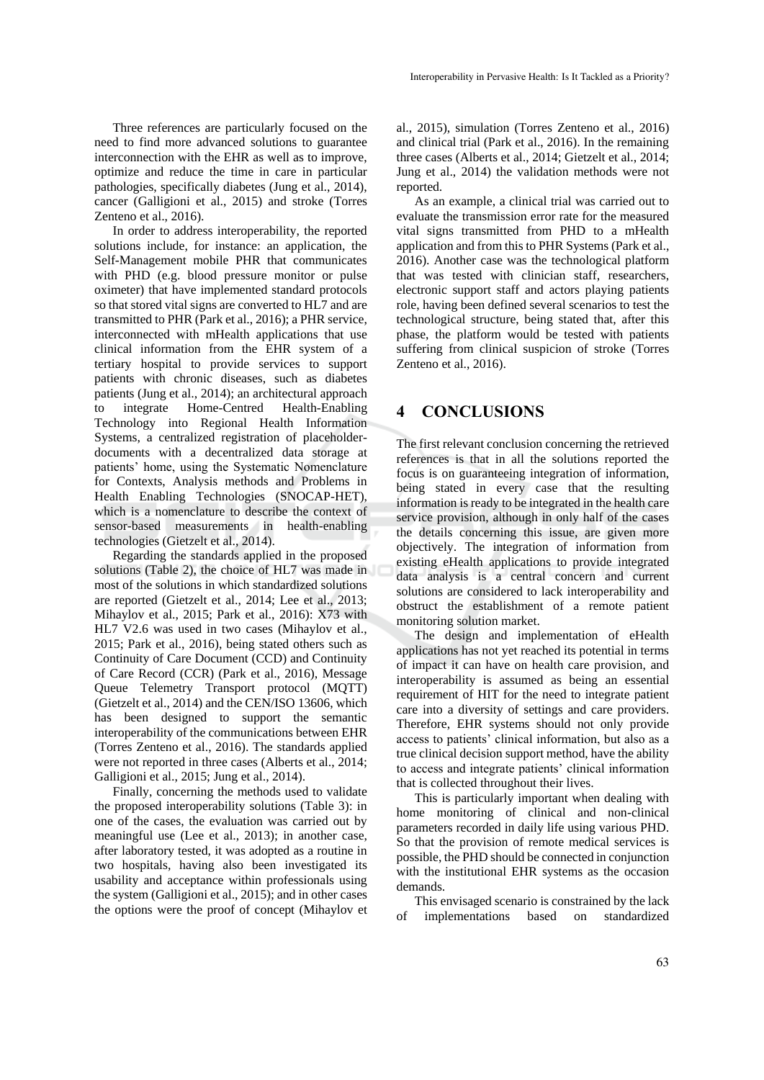Three references are particularly focused on the need to find more advanced solutions to guarantee interconnection with the EHR as well as to improve, optimize and reduce the time in care in particular pathologies, specifically diabetes (Jung et al., 2014), cancer (Galligioni et al., 2015) and stroke (Torres Zenteno et al., 2016).

In order to address interoperability, the reported solutions include, for instance: an application, the Self-Management mobile PHR that communicates with PHD (e.g. blood pressure monitor or pulse oximeter) that have implemented standard protocols so that stored vital signs are converted to HL7 and are transmitted to PHR (Park et al., 2016); a PHR service, interconnected with mHealth applications that use clinical information from the EHR system of a tertiary hospital to provide services to support patients with chronic diseases, such as diabetes patients (Jung et al., 2014); an architectural approach to integrate Home-Centred Health-Enabling Technology into Regional Health Information Systems, a centralized registration of placeholderdocuments with a decentralized data storage at patients' home, using the Systematic Nomenclature for Contexts, Analysis methods and Problems in Health Enabling Technologies (SNOCAP-HET), which is a nomenclature to describe the context of sensor-based measurements in health-enabling technologies (Gietzelt et al., 2014).

Regarding the standards applied in the proposed solutions (Table 2), the choice of HL7 was made in most of the solutions in which standardized solutions are reported (Gietzelt et al., 2014; Lee et al., 2013; Mihaylov et al., 2015; Park et al., 2016): X73 with HL7 V2.6 was used in two cases (Mihaylov et al., 2015; Park et al., 2016), being stated others such as Continuity of Care Document (CCD) and Continuity of Care Record (CCR) (Park et al., 2016), Message Queue Telemetry Transport protocol (MQTT) (Gietzelt et al., 2014) and the CEN/ISO 13606, which has been designed to support the semantic interoperability of the communications between EHR (Torres Zenteno et al., 2016). The standards applied were not reported in three cases (Alberts et al., 2014; Galligioni et al., 2015; Jung et al., 2014).

Finally, concerning the methods used to validate the proposed interoperability solutions (Table 3): in one of the cases, the evaluation was carried out by meaningful use (Lee et al., 2013); in another case, after laboratory tested, it was adopted as a routine in two hospitals, having also been investigated its usability and acceptance within professionals using the system (Galligioni et al., 2015); and in other cases the options were the proof of concept (Mihaylov et

al., 2015), simulation (Torres Zenteno et al., 2016) and clinical trial (Park et al., 2016). In the remaining three cases (Alberts et al., 2014; Gietzelt et al., 2014; Jung et al., 2014) the validation methods were not reported.

As an example, a clinical trial was carried out to evaluate the transmission error rate for the measured vital signs transmitted from PHD to a mHealth application and from this to PHR Systems (Park et al., 2016). Another case was the technological platform that was tested with clinician staff, researchers, electronic support staff and actors playing patients role, having been defined several scenarios to test the technological structure, being stated that, after this phase, the platform would be tested with patients suffering from clinical suspicion of stroke (Torres Zenteno et al., 2016).

## **4 CONCLUSIONS**

The first relevant conclusion concerning the retrieved references is that in all the solutions reported the focus is on guaranteeing integration of information, being stated in every case that the resulting information is ready to be integrated in the health care service provision, although in only half of the cases the details concerning this issue, are given more objectively. The integration of information from existing eHealth applications to provide integrated data analysis is a central concern and current solutions are considered to lack interoperability and obstruct the establishment of a remote patient monitoring solution market.

The design and implementation of eHealth applications has not yet reached its potential in terms of impact it can have on health care provision, and interoperability is assumed as being an essential requirement of HIT for the need to integrate patient care into a diversity of settings and care providers. Therefore, EHR systems should not only provide access to patients' clinical information, but also as a true clinical decision support method, have the ability to access and integrate patients' clinical information that is collected throughout their lives.

This is particularly important when dealing with home monitoring of clinical and non-clinical parameters recorded in daily life using various PHD. So that the provision of remote medical services is possible, the PHD should be connected in conjunction with the institutional EHR systems as the occasion demands.

This envisaged scenario is constrained by the lack of implementations based on standardized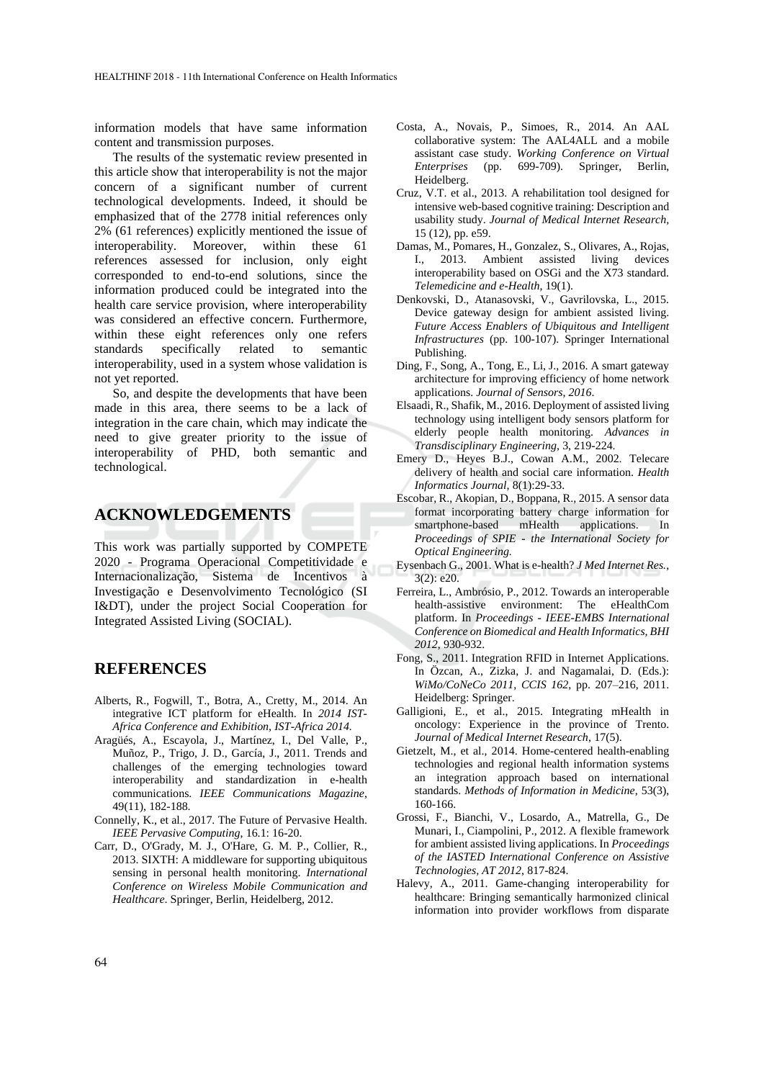information models that have same information content and transmission purposes.

The results of the systematic review presented in this article show that interoperability is not the major concern of a significant number of current technological developments. Indeed, it should be emphasized that of the 2778 initial references only 2% (61 references) explicitly mentioned the issue of interoperability. Moreover, within these 61 references assessed for inclusion, only eight corresponded to end-to-end solutions, since the information produced could be integrated into the health care service provision, where interoperability was considered an effective concern. Furthermore, within these eight references only one refers standards specifically related to semantic interoperability, used in a system whose validation is not yet reported.

So, and despite the developments that have been made in this area, there seems to be a lack of integration in the care chain, which may indicate the need to give greater priority to the issue of interoperability of PHD, both semantic and technological.

## **ACKNOWLEDGEMENTS**

This work was partially supported by COMPETE 2020 - Programa Operacional Competitividade e Internacionalização, Sistema de Incentivos à Investigação e Desenvolvimento Tecnológico (SI I&DT), under the project Social Cooperation for Integrated Assisted Living (SOCIAL).

## **REFERENCES**

- Alberts, R., Fogwill, T., Botra, A., Cretty, M., 2014. An integrative ICT platform for eHealth. In *2014 IST-Africa Conference and Exhibition, IST-Africa 2014.*
- Aragüés, A., Escayola, J., Martínez, I., Del Valle, P., Muñoz, P., Trigo, J. D., García, J., 2011. Trends and challenges of the emerging technologies toward interoperability and standardization in e-health communications. *IEEE Communications Magazine*, 49(11), 182-188.
- Connelly, K., et al., 2017. The Future of Pervasive Health. *IEEE Pervasive Computing*, 16.1: 16-20.
- Carr, D., O'Grady, M. J., O'Hare, G. M. P., Collier, R., 2013. SIXTH: A middleware for supporting ubiquitous sensing in personal health monitoring. *International Conference on Wireless Mobile Communication and Healthcare*. Springer, Berlin, Heidelberg, 2012.
- Costa, A., Novais, P., Simoes, R., 2014. An AAL collaborative system: The AAL4ALL and a mobile assistant case study. *Working Conference on Virtual Enterprises* (pp. 699-709). Springer, Berlin, Heidelberg.
- Cruz, V.T. et al., 2013. A rehabilitation tool designed for intensive web-based cognitive training: Description and usability study. *Journal of Medical Internet Research,* 15 (12), pp. e59.
- Damas, M., Pomares, H., Gonzalez, S., Olivares, A., Rojas, I., 2013. Ambient assisted living devices interoperability based on OSGi and the X73 standard. *Telemedicine and e-Health*, 19(1).
- Denkovski, D., Atanasovski, V., Gavrilovska, L., 2015. Device gateway design for ambient assisted living. *Future Access Enablers of Ubiquitous and Intelligent Infrastructures* (pp. 100-107). Springer International Publishing.
- Ding, F., Song, A., Tong, E., Li, J., 2016. A smart gateway architecture for improving efficiency of home network applications. *Journal of Sensors*, *2016*.
- Elsaadi, R., Shafik, M., 2016. Deployment of assisted living technology using intelligent body sensors platform for elderly people health monitoring. *Advances in Transdisciplinary Engineering*, 3, 219-224.
- Emery D., Heyes B.J., Cowan A.M., 2002. Telecare delivery of health and social care information. *Health Informatics Journal*, 8(1):29-33.
- Escobar, R., Akopian, D., Boppana, R., 2015. A sensor data format incorporating battery charge information for smartphone-based mHealth applications. In *Proceedings of SPIE - the International Society for Optical Engineering.*
- Eysenbach G., 2001. What is e-health? *J Med Internet Res.*, 3(2): e20.
- Ferreira, L., Ambrósio, P., 2012. Towards an interoperable health-assistive environment: The eHealthCom platform. In *Proceedings - IEEE-EMBS International Conference on Biomedical and Health Informatics, BHI 2012*, 930-932.
- Fong, S., 2011. Integration RFID in Internet Applications. In Özcan, A., Zizka, J. and Nagamalai, D. (Eds.): *WiMo/CoNeCo 2011, CCIS 162*, pp. 207–216, 2011. Heidelberg: Springer.
- Galligioni, E., et al., 2015. Integrating mHealth in oncology: Experience in the province of Trento. *Journal of Medical Internet Research*, 17(5).
- Gietzelt, M., et al., 2014. Home-centered health-enabling technologies and regional health information systems an integration approach based on international standards. *Methods of Information in Medicine*, 53(3), 160-166.
- Grossi, F., Bianchi, V., Losardo, A., Matrella, G., De Munari, I., Ciampolini, P., 2012. A flexible framework for ambient assisted living applications. In *Proceedings of the IASTED International Conference on Assistive Technologies, AT 2012*, 817-824.
- Halevy, A., 2011. Game-changing interoperability for healthcare: Bringing semantically harmonized clinical information into provider workflows from disparate